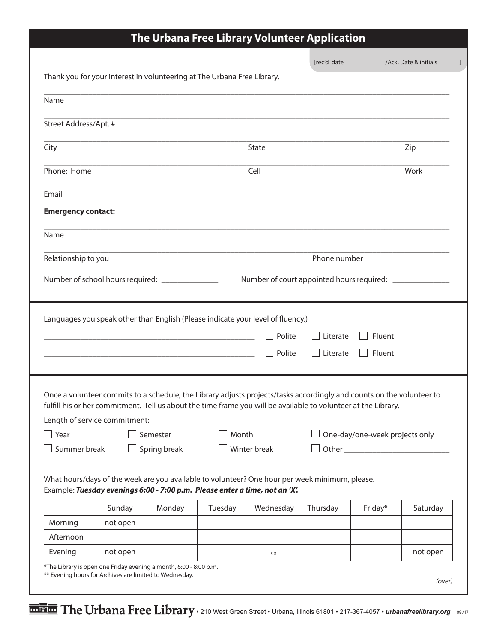|                             |                                                                                                                                                                                                                                                                                    |                          |         |                                                           |                 | [rec'd date _________________/Ack. Date & initials ________ ] |          |
|-----------------------------|------------------------------------------------------------------------------------------------------------------------------------------------------------------------------------------------------------------------------------------------------------------------------------|--------------------------|---------|-----------------------------------------------------------|-----------------|---------------------------------------------------------------|----------|
|                             | Thank you for your interest in volunteering at The Urbana Free Library.                                                                                                                                                                                                            |                          |         |                                                           |                 |                                                               |          |
| Name                        |                                                                                                                                                                                                                                                                                    |                          |         |                                                           |                 |                                                               |          |
| Street Address/Apt. #       |                                                                                                                                                                                                                                                                                    |                          |         |                                                           |                 |                                                               |          |
| City                        |                                                                                                                                                                                                                                                                                    |                          |         | State                                                     |                 |                                                               | Zip      |
| Phone: Home                 |                                                                                                                                                                                                                                                                                    |                          |         | Cell                                                      |                 |                                                               | Work     |
| Email                       |                                                                                                                                                                                                                                                                                    |                          |         |                                                           |                 |                                                               |          |
| <b>Emergency contact:</b>   |                                                                                                                                                                                                                                                                                    |                          |         |                                                           |                 |                                                               |          |
| Name                        |                                                                                                                                                                                                                                                                                    |                          |         |                                                           |                 |                                                               |          |
| Relationship to you         |                                                                                                                                                                                                                                                                                    |                          |         |                                                           | Phone number    |                                                               |          |
|                             | Number of school hours required: ______________                                                                                                                                                                                                                                    |                          |         | Number of court appointed hours required: _______________ |                 |                                                               |          |
|                             |                                                                                                                                                                                                                                                                                    |                          |         |                                                           |                 |                                                               |          |
|                             | Languages you speak other than English (Please indicate your level of fluency.)                                                                                                                                                                                                    |                          |         |                                                           |                 |                                                               |          |
|                             | <u> 1980 - Johann Barbara, martxa alemaniar argumento de la contrada de la contrada de la contrada de la contrad</u>                                                                                                                                                               |                          |         | Polite                                                    | Literate        | Fluent                                                        |          |
|                             |                                                                                                                                                                                                                                                                                    |                          |         | Polite                                                    | $\Box$ Literate | Fluent                                                        |          |
| $\Box$ Year<br>Summer break | Once a volunteer commits to a schedule, the Library adjusts projects/tasks accordingly and counts on the volunteer to<br>fulfill his or her commitment. Tell us about the time frame you will be available to volunteer at the Library.<br>Length of service commitment:<br>$\Box$ | Semester<br>Spring break | Month   | $\Box$ Winter break                                       |                 | One-day/one-week projects only                                |          |
|                             | What hours/days of the week are you available to volunteer? One hour per week minimum, please.<br>Example: Tuesday evenings 6:00 - 7:00 p.m. Please enter a time, not an 'X'.                                                                                                      |                          |         |                                                           |                 |                                                               |          |
|                             | Sunday                                                                                                                                                                                                                                                                             | Monday                   | Tuesday | Wednesday                                                 | Thursday        | Friday*                                                       | Saturday |
| Morning<br>Afternoon        | not open                                                                                                                                                                                                                                                                           |                          |         |                                                           |                 |                                                               |          |